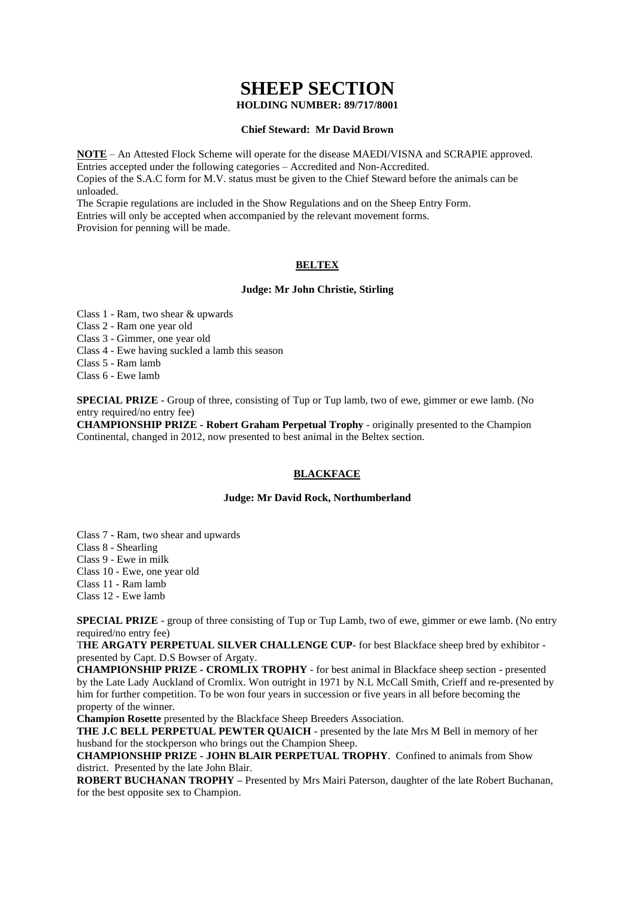# **SHEEP SECTION**

# **HOLDING NUMBER: 89/717/8001**

## **Chief Steward: Mr David Brown**

**NOTE** – An Attested Flock Scheme will operate for the disease MAEDI/VISNA and SCRAPIE approved. Entries accepted under the following categories – Accredited and Non-Accredited. Copies of the S.A.C form for M.V. status must be given to the Chief Steward before the animals can be unloaded.

The Scrapie regulations are included in the Show Regulations and on the Sheep Entry Form. Entries will only be accepted when accompanied by the relevant movement forms. Provision for penning will be made.

# **BELTEX**

## **Judge: Mr John Christie, Stirling**

Class 1 - Ram, two shear & upwards

Class 2 - Ram one year old

Class 3 - Gimmer, one year old

Class 4 - Ewe having suckled a lamb this season

Class 5 - Ram lamb

Class 6 - Ewe lamb

**SPECIAL PRIZE** - Group of three, consisting of Tup or Tup lamb, two of ewe, gimmer or ewe lamb. (No entry required/no entry fee)

**CHAMPIONSHIP PRIZE - Robert Graham Perpetual Trophy** - originally presented to the Champion Continental, changed in 2012, now presented to best animal in the Beltex section.

## **BLACKFACE**

## **Judge: Mr David Rock, Northumberland**

Class 7 - Ram, two shear and upwards

Class 8 - Shearling

Class 9 - Ewe in milk

Class 10 - Ewe, one year old

Class 11 - Ram lamb

Class 12 - Ewe lamb

**SPECIAL PRIZE** - group of three consisting of Tup or Tup Lamb, two of ewe, gimmer or ewe lamb. (No entry required/no entry fee)

T**HE ARGATY PERPETUAL SILVER CHALLENGE CUP**- for best Blackface sheep bred by exhibitor presented by Capt. D.S Bowser of Argaty.

**CHAMPIONSHIP PRIZE - CROMLIX TROPHY** - for best animal in Blackface sheep section - presented by the Late Lady Auckland of Cromlix. Won outright in 1971 by N.L McCall Smith, Crieff and re-presented by him for further competition. To be won four years in succession or five years in all before becoming the property of the winner.

**Champion Rosette** presented by the Blackface Sheep Breeders Association.

**THE J.C BELL PERPETUAL PEWTER QUAICH** - presented by the late Mrs M Bell in memory of her husband for the stockperson who brings out the Champion Sheep.

**CHAMPIONSHIP PRIZE - JOHN BLAIR PERPETUAL TROPHY**. Confined to animals from Show district. Presented by the late John Blair.

**ROBERT BUCHANAN TROPHY –** Presented by Mrs Mairi Paterson, daughter of the late Robert Buchanan, for the best opposite sex to Champion.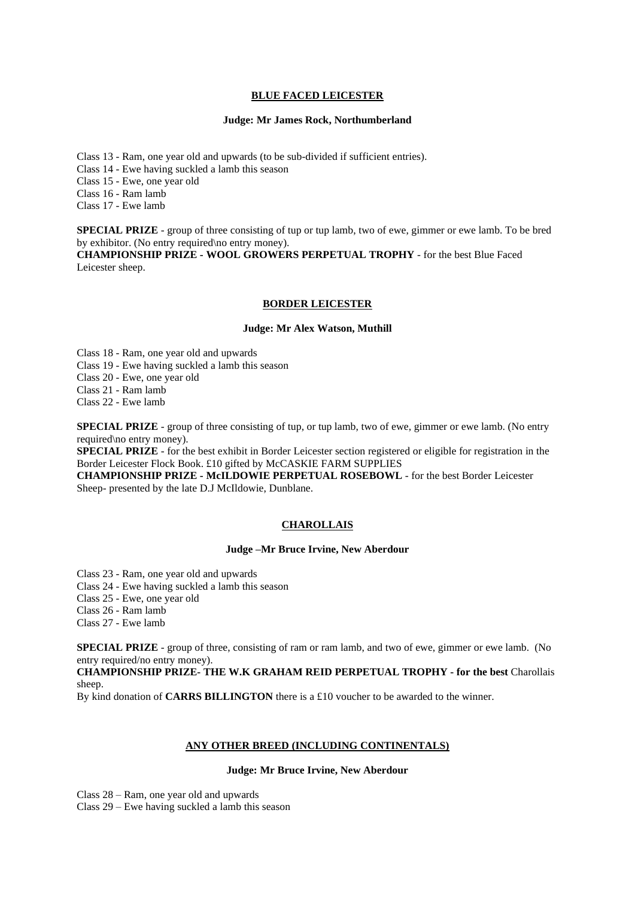## **BLUE FACED LEICESTER**

## **Judge: Mr James Rock, Northumberland**

Class 13 - Ram, one year old and upwards (to be sub-divided if sufficient entries).

Class 14 - Ewe having suckled a lamb this season

Class 15 - Ewe, one year old

Class 16 - Ram lamb

Class 17 - Ewe lamb

**SPECIAL PRIZE** - group of three consisting of tup or tup lamb, two of ewe, gimmer or ewe lamb. To be bred by exhibitor. (No entry required\no entry money).

**CHAMPIONSHIP PRIZE - WOOL GROWERS PERPETUAL TROPHY** - for the best Blue Faced Leicester sheep.

#### **BORDER LEICESTER**

#### **Judge: Mr Alex Watson, Muthill**

Class 18 - Ram, one year old and upwards

Class 19 - Ewe having suckled a lamb this season

Class 20 - Ewe, one year old

Class 21 - Ram lamb

Class 22 - Ewe lamb

**SPECIAL PRIZE** - group of three consisting of tup, or tup lamb, two of ewe, gimmer or ewe lamb. (No entry required\no entry money).

**SPECIAL PRIZE** - for the best exhibit in Border Leicester section registered or eligible for registration in the Border Leicester Flock Book. £10 gifted by McCASKIE FARM SUPPLIES

**CHAMPIONSHIP PRIZE - McILDOWIE PERPETUAL ROSEBOWL** - for the best Border Leicester Sheep- presented by the late D.J McIldowie, Dunblane.

# **CHAROLLAIS**

## **Judge –Mr Bruce Irvine, New Aberdour**

Class 23 - Ram, one year old and upwards

Class 24 - Ewe having suckled a lamb this season

Class 25 - Ewe, one year old

Class 26 - Ram lamb

Class 27 - Ewe lamb

**SPECIAL PRIZE** - group of three, consisting of ram or ram lamb, and two of ewe, gimmer or ewe lamb. (No entry required/no entry money).

**CHAMPIONSHIP PRIZE- THE W.K GRAHAM REID PERPETUAL TROPHY - for the best** Charollais sheep.

By kind donation of **CARRS BILLINGTON** there is a £10 voucher to be awarded to the winner.

# **ANY OTHER BREED (INCLUDING CONTINENTALS)**

# **Judge: Mr Bruce Irvine, New Aberdour**

Class 28 – Ram, one year old and upwards

Class 29 – Ewe having suckled a lamb this season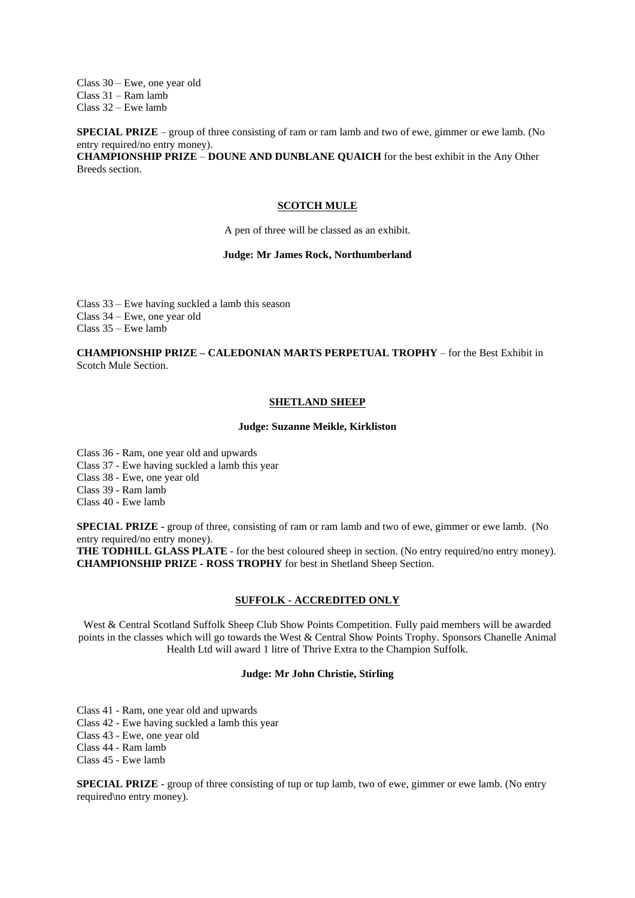Class 30 – Ewe, one year old Class 31 – Ram lamb Class 32 – Ewe lamb

**SPECIAL PRIZE** – group of three consisting of ram or ram lamb and two of ewe, gimmer or ewe lamb. (No entry required/no entry money).

**CHAMPIONSHIP PRIZE** – **DOUNE AND DUNBLANE QUAICH** for the best exhibit in the Any Other Breeds section.

#### **SCOTCH MULE**

A pen of three will be classed as an exhibit.

#### **Judge: Mr James Rock, Northumberland**

Class 33 – Ewe having suckled a lamb this season Class 34 – Ewe, one year old Class  $35 - E$ we lamb

## **CHAMPIONSHIP PRIZE – CALEDONIAN MARTS PERPETUAL TROPHY** – for the Best Exhibit in Scotch Mule Section.

## **SHETLAND SHEEP**

#### **Judge: Suzanne Meikle, Kirkliston**

Class 36 - Ram, one year old and upwards

Class 37 - Ewe having suckled a lamb this year

Class 38 - Ewe, one year old

Class 39 - Ram lamb

Class 40 - Ewe lamb

**SPECIAL PRIZE -** group of three, consisting of ram or ram lamb and two of ewe, gimmer or ewe lamb. (No entry required/no entry money).

**THE TODHILL GLASS PLATE** - for the best coloured sheep in section. (No entry required/no entry money). **CHAMPIONSHIP PRIZE - ROSS TROPHY** for best in Shetland Sheep Section.

# **SUFFOLK - ACCREDITED ONLY**

West & Central Scotland Suffolk Sheep Club Show Points Competition. Fully paid members will be awarded points in the classes which will go towards the West & Central Show Points Trophy. Sponsors Chanelle Animal Health Ltd will award 1 litre of Thrive Extra to the Champion Suffolk.

# **Judge: Mr John Christie, Stirling**

Class 41 - Ram, one year old and upwards

Class 42 - Ewe having suckled a lamb this year

Class 43 - Ewe, one year old

Class 44 - Ram lamb

Class 45 - Ewe lamb

**SPECIAL PRIZE** - group of three consisting of tup or tup lamb, two of ewe, gimmer or ewe lamb. (No entry required\no entry money).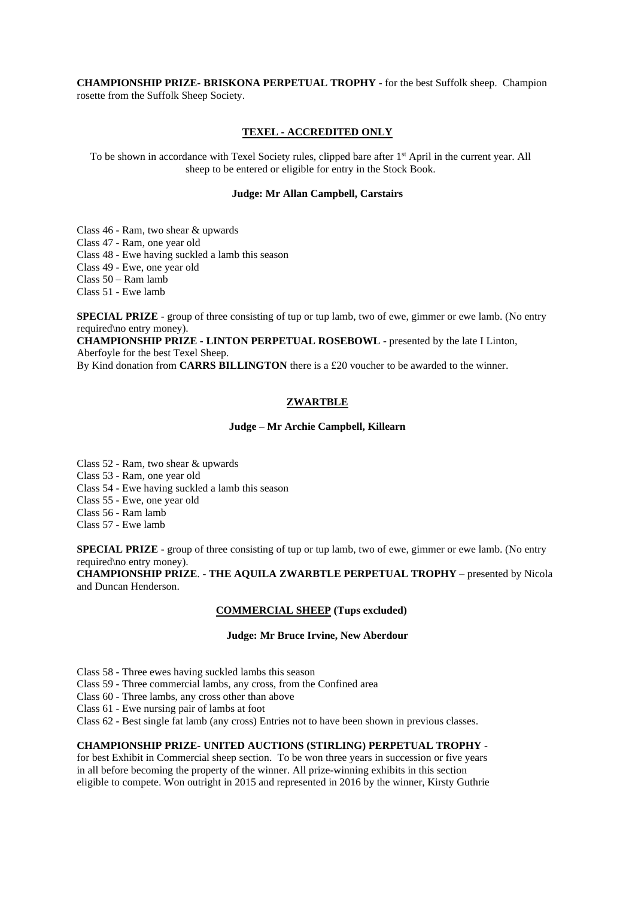**CHAMPIONSHIP PRIZE- BRISKONA PERPETUAL TROPHY** - for the best Suffolk sheep. Champion rosette from the Suffolk Sheep Society.

## **TEXEL - ACCREDITED ONLY**

To be shown in accordance with Texel Society rules, clipped bare after 1<sup>st</sup> April in the current year. All sheep to be entered or eligible for entry in the Stock Book.

# **Judge: Mr Allan Campbell, Carstairs**

Class 46 - Ram, two shear & upwards

Class 47 - Ram, one year old

Class 48 - Ewe having suckled a lamb this season

Class 49 - Ewe, one year old

Class 50 – Ram lamb

Class 51 - Ewe lamb

**SPECIAL PRIZE** - group of three consisting of tup or tup lamb, two of ewe, gimmer or ewe lamb. (No entry required\no entry money).

**CHAMPIONSHIP PRIZE - LINTON PERPETUAL ROSEBOWL** - presented by the late I Linton, Aberfoyle for the best Texel Sheep.

By Kind donation from **CARRS BILLINGTON** there is a £20 voucher to be awarded to the winner.

# **ZWARTBLE**

## **Judge – Mr Archie Campbell, Killearn**

Class 52 - Ram, two shear & upwards Class 53 - Ram, one year old Class 54 - Ewe having suckled a lamb this season Class 55 - Ewe, one year old

Class 56 - Ram lamb

Class 57 - Ewe lamb

**SPECIAL PRIZE** - group of three consisting of tup or tup lamb, two of ewe, gimmer or ewe lamb. (No entry required\no entry money).

**CHAMPIONSHIP PRIZE**. - **THE AQUILA ZWARBTLE PERPETUAL TROPHY** – presented by Nicola and Duncan Henderson.

#### **COMMERCIAL SHEEP (Tups excluded)**

## **Judge: Mr Bruce Irvine, New Aberdour**

Class 58 - Three ewes having suckled lambs this season

Class 59 - Three commercial lambs, any cross, from the Confined area

Class 60 - Three lambs, any cross other than above

Class 61 - Ewe nursing pair of lambs at foot

Class 62 - Best single fat lamb (any cross) Entries not to have been shown in previous classes.

# **CHAMPIONSHIP PRIZE- UNITED AUCTIONS (STIRLING) PERPETUAL TROPHY** -

for best Exhibit in Commercial sheep section. To be won three years in succession or five years in all before becoming the property of the winner. All prize-winning exhibits in this section eligible to compete. Won outright in 2015 and represented in 2016 by the winner, Kirsty Guthrie